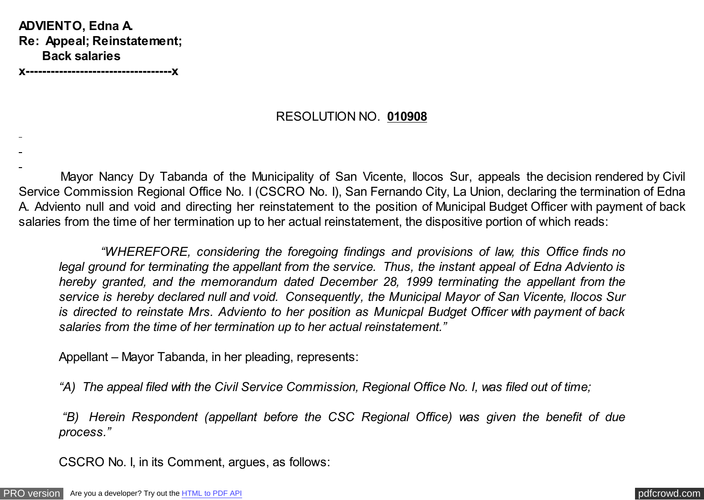**ADVIENTO, Edna A. Re: Appeal; Reinstatement; Back salaries**

**x-----------------------------------x**

#### RESOLUTION NO. **010908**

 Mayor Nancy Dy Tabanda of the Municipality of San Vicente, Ilocos Sur, appeals the decision rendered by Civil Service Commission Regional Office No. I (CSCRO No. I), San Fernando City, La Union, declaring the termination of Edna A. Adviento null and void and directing her reinstatement to the position of Municipal Budget Officer with payment of back salaries from the time of her termination up to her actual reinstatement, the dispositive portion of which reads:

 *"WHEREFORE, considering the foregoing findings and provisions of law, this Office finds no legal ground for terminating the appellant from the service. Thus, the instant appeal of Edna Adviento is hereby granted, and the memorandum dated December 28, 1999 terminating the appellant from the service is hereby declared null and void. Consequently, the Municipal Mayor of San Vicente, Ilocos Sur is directed to reinstate Mrs. Adviento to her position as Municpal Budget Officer with payment of back salaries from the time of her termination up to her actual reinstatement."*

Appellant – Mayor Tabanda, in her pleading, represents:

*"A) The appeal filed with the Civil Service Commission, Regional Office No. I, was filed out of time;*

 *"B) Herein Respondent (appellant before the CSC Regional Office) was given the benefit of due process."*

CSCRO No. I, in its Comment, argues, as follows: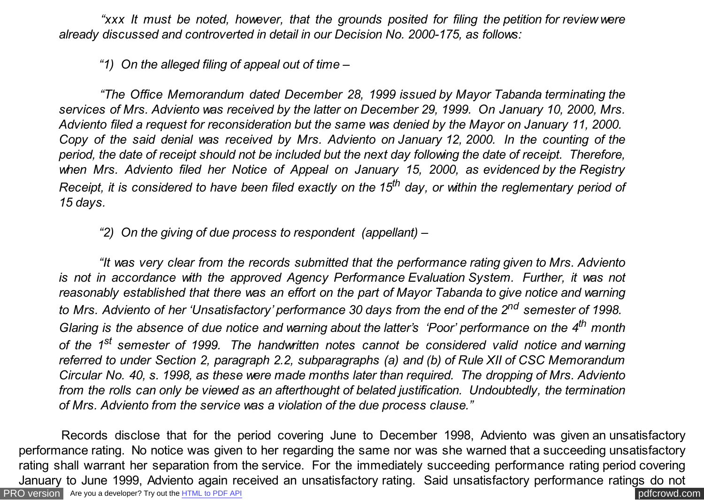*"xxx It must be noted, however, that the grounds posited for filing the petition for review were already discussed and controverted in detail in our Decision No. 2000-175, as follows:*

 *"1) On the alleged filing of appeal out of time –*

 *"The Office Memorandum dated December 28, 1999 issued by Mayor Tabanda terminating the services of Mrs. Adviento was received by the latter on December 29, 1999. On January 10, 2000, Mrs. Adviento filed a request for reconsideration but the same was denied by the Mayor on January 11, 2000. Copy of the said denial was received by Mrs. Adviento on January 12, 2000. In the counting of the period, the date of receipt should not be included but the next day following the date of receipt. Therefore, when Mrs. Adviento filed her Notice of Appeal on January 15, 2000, as evidenced by the Registry Receipt, it is considered to have been filed exactly on the 15th day, or within the reglementary period of 15 days.*

 *"2) On the giving of due process to respondent (appellant) –*

 *"It was very clear from the records submitted that the performance rating given to Mrs. Adviento is not in accordance with the approved Agency Performance Evaluation System. Further, it was not reasonably established that there was an effort on the part of Mayor Tabanda to give notice and warning to Mrs. Adviento of her 'Unsatisfactory' performance 30 days from the end of the 2nd semester of 1998. Glaring is the absence of due notice and warning about the latter's 'Poor' performance on the 4th month of the 1st semester of 1999. The handwritten notes cannot be considered valid notice and warning referred to under Section 2, paragraph 2.2, subparagraphs (a) and (b) of Rule XII of CSC Memorandum Circular No. 40, s. 1998, as these were made months later than required. The dropping of Mrs. Adviento from the rolls can only be viewed as an afterthought of belated justification. Undoubtedly, the termination of Mrs. Adviento from the service was a violation of the due process clause."*

[PRO version](http://pdfcrowd.com/customize/) Are you a developer? Try out th[e HTML to PDF API](http://pdfcrowd.com/html-to-pdf-api/?ref=pdf) pdf crowd.com Records disclose that for the period covering June to December 1998, Adviento was given an unsatisfactory performance rating. No notice was given to her regarding the same nor was she warned that a succeeding unsatisfactory rating shall warrant her separation from the service. For the immediately succeeding performance rating period covering January to June 1999, Adviento again received an unsatisfactory rating. Said unsatisfactory performance ratings do not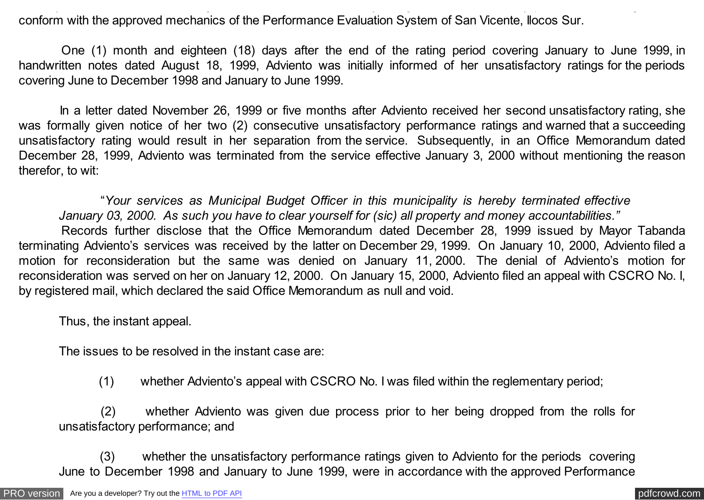conform with the approved mechanics of the Performance Evaluation System of San Vicente, Ilocos Sur.

 One (1) month and eighteen (18) days after the end of the rating period covering January to June 1999, in handwritten notes dated August 18, 1999, Adviento was initially informed of her unsatisfactory ratings for the periods covering June to December 1998 and January to June 1999.

January to June 1999, Adviento again received an unsatisfactory rating. Said unsatisfactory performance ratings do not

 In a letter dated November 26, 1999 or five months after Adviento received her second unsatisfactory rating, she was formally given notice of her two (2) consecutive unsatisfactory performance ratings and warned that a succeeding unsatisfactory rating would result in her separation from the service. Subsequently, in an Office Memorandum dated December 28, 1999, Adviento was terminated from the service effective January 3, 2000 without mentioning the reason therefor, to wit:

 "*Your services as Municipal Budget Officer in this municipality is hereby terminated effective January 03, 2000. As such you have to clear yourself for (sic) all property and money accountabilities."*

 Records further disclose that the Office Memorandum dated December 28, 1999 issued by Mayor Tabanda terminating Adviento's services was received by the latter on December 29, 1999. On January 10, 2000, Adviento filed a motion for reconsideration but the same was denied on January 11, 2000. The denial of Adviento's motion for reconsideration was served on her on January 12, 2000. On January 15, 2000, Adviento filed an appeal with CSCRO No. I, by registered mail, which declared the said Office Memorandum as null and void.

Thus, the instant appeal.

The issues to be resolved in the instant case are:

(1) whether Adviento's appeal with CSCRO No. I was filed within the reglementary period;

 (2) whether Adviento was given due process prior to her being dropped from the rolls for unsatisfactory performance; and

 (3) whether the unsatisfactory performance ratings given to Adviento for the periods covering June to December 1998 and January to June 1999, were in accordance with the approved Performance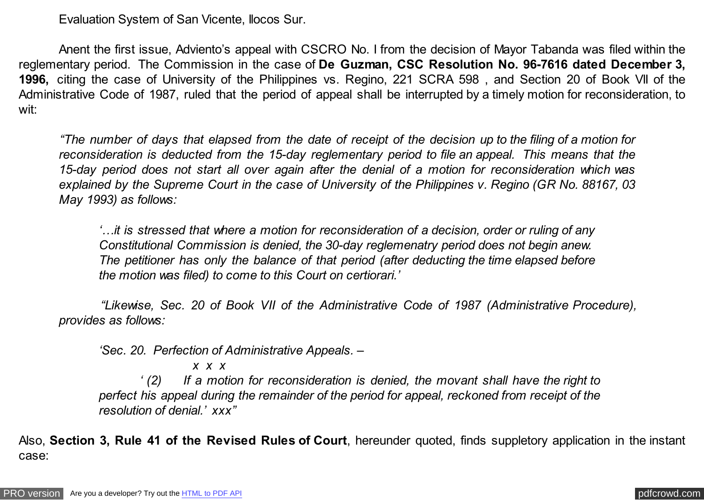Evaluation System of San Vicente, Ilocos Sur.

 Anent the first issue, Adviento's appeal with CSCRO No. I from the decision of Mayor Tabanda was filed within the reglementary period. The Commission in the case of **De Guzman, CSC Resolution No. 96-7616 dated December 3, 1996,** citing the case of University of the Philippines vs. Regino, 221 SCRA 598 , and Section 20 of Book VII of the Administrative Code of 1987, ruled that the period of appeal shall be interrupted by a timely motion for reconsideration, to wit:

 *"The number of days that elapsed from the date of receipt of the decision up to the filing of a motion for reconsideration is deducted from the 15-day reglementary period to file an appeal. This means that the 15-day period does not start all over again after the denial of a motion for reconsideration which was explained by the Supreme Court in the case of University of the Philippines v. Regino (GR No. 88167, 03 May 1993) as follows:*

 *'…it is stressed that where a motion for reconsideration of a decision, order or ruling of any Constitutional Commission is denied, the 30-day reglemenatry period does not begin anew. The petitioner has only the balance of that period (after deducting the time elapsed before the motion was filed) to come to this Court on certiorari.'*

 *"Likewise, Sec. 20 of Book VII of the Administrative Code of 1987 (Administrative Procedure), provides as follows:*

 *'Sec. 20. Perfection of Administrative Appeals. –*

 *x x x*

 *' (2) If a motion for reconsideration is denied, the movant shall have the right to perfect his appeal during the remainder of the period for appeal, reckoned from receipt of the resolution of denial.' xxx"*

Also, **Section 3, Rule 41 of the Revised Rules of Court**, hereunder quoted, finds suppletory application in the instant case: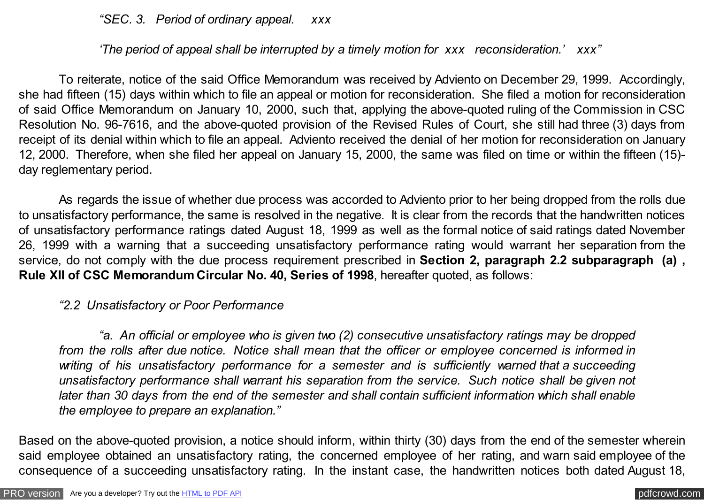*"SEC. 3. Period of ordinary appeal. xxx*

## *'The period of appeal shall be interrupted by a timely motion for xxx reconsideration.' xxx"*

 To reiterate, notice of the said Office Memorandum was received by Adviento on December 29, 1999. Accordingly, she had fifteen (15) days within which to file an appeal or motion for reconsideration. She filed a motion for reconsideration of said Office Memorandum on January 10, 2000, such that, applying the above-quoted ruling of the Commission in CSC Resolution No. 96-7616, and the above-quoted provision of the Revised Rules of Court, she still had three (3) days from receipt of its denial within which to file an appeal. Adviento received the denial of her motion for reconsideration on January 12, 2000. Therefore, when she filed her appeal on January 15, 2000, the same was filed on time or within the fifteen (15) day reglementary period.

 As regards the issue of whether due process was accorded to Adviento prior to her being dropped from the rolls due to unsatisfactory performance, the same is resolved in the negative. It is clear from the records that the handwritten notices of unsatisfactory performance ratings dated August 18, 1999 as well as the formal notice of said ratings dated November 26, 1999 with a warning that a succeeding unsatisfactory performance rating would warrant her separation from the service, do not comply with the due process requirement prescribed in **Section 2, paragraph 2.2 subparagraph (a) , Rule XII of CSC Memorandum Circular No. 40, Series of 1998**, hereafter quoted, as follows:

#### *"2.2 Unsatisfactory or Poor Performance*

 *"a. An official or employee who is given two (2) consecutive unsatisfactory ratings may be dropped from the rolls after due notice. Notice shall mean that the officer or employee concerned is informed in writing of his unsatisfactory performance for a semester and is sufficiently warned that a succeeding unsatisfactory performance shall warrant his separation from the service. Such notice shall be given not later than 30 days from the end of the semester and shall contain sufficient information which shall enable the employee to prepare an explanation."*

Based on the above-quoted provision, a notice should inform, within thirty (30) days from the end of the semester wherein said employee obtained an unsatisfactory rating, the concerned employee of her rating, and warn said employee of the consequence of a succeeding unsatisfactory rating. In the instant case, the handwritten notices both dated August 18,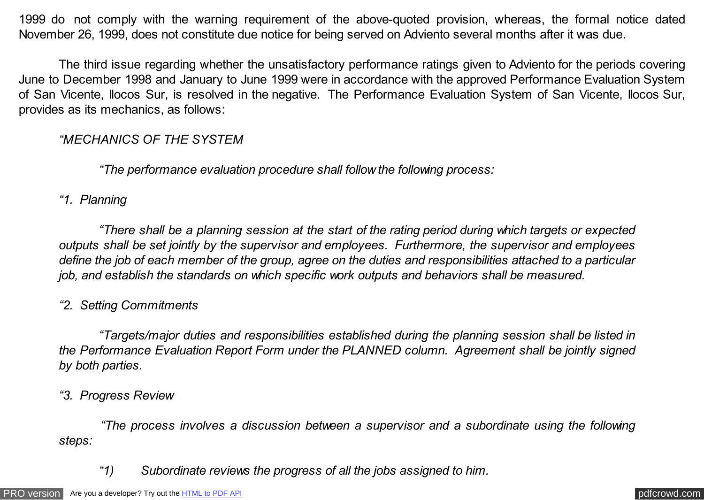1999 do not comply with the warning requirement of the above-quoted provision, whereas, the formal notice dated November 26, 1999, does not constitute due notice for being served on Adviento several months after it was due.

 The third issue regarding whether the unsatisfactory performance ratings given to Adviento for the periods covering June to December 1998 and January to June 1999 were in accordance with the approved Performance Evaluation System of San Vicente, Ilocos Sur, is resolved in the negative. The Performance Evaluation System of San Vicente, Ilocos Sur, provides as its mechanics, as follows:

## *"MECHANICS OF THE SYSTEM*

 *"The performance evaluation procedure shall follow the following process:*

## *"1. Planning*

 *"There shall be a planning session at the start of the rating period during which targets or expected outputs shall be set jointly by the supervisor and employees. Furthermore, the supervisor and employees define the job of each member of the group, agree on the duties and responsibilities attached to a particular job, and establish the standards on which specific work outputs and behaviors shall be measured.*

# *"2. Setting Commitments*

 *"Targets/major duties and responsibilities established during the planning session shall be listed in the Performance Evaluation Report Form under the PLANNED column. Agreement shall be jointly signed by both parties.*

### *"3. Progress Review*

 *"The process involves a discussion between a supervisor and a subordinate using the following steps:*

 *"1) Subordinate reviews the progress of all the jobs assigned to him.*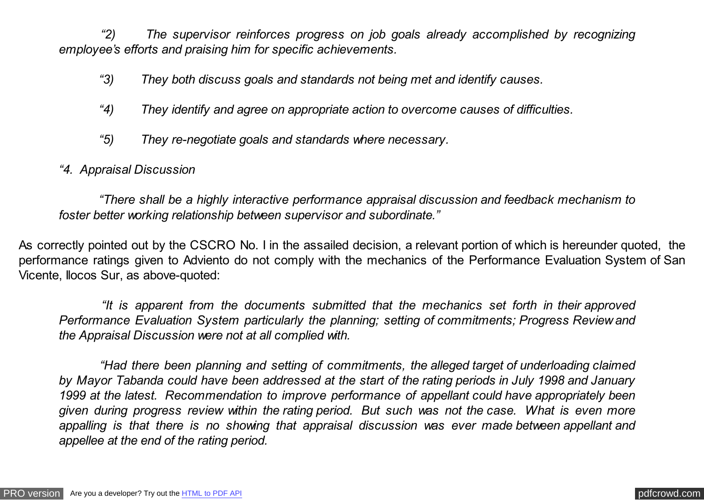*"2) The supervisor reinforces progress on job goals already accomplished by recognizing employee's efforts and praising him for specific achievements.*

- *"3) They both discuss goals and standards not being met and identify causes.*
- *"4) They identify and agree on appropriate action to overcome causes of difficulties.*
- *"5) They re-negotiate goals and standards where necessary.*
- *"4. Appraisal Discussion*

 *"There shall be a highly interactive performance appraisal discussion and feedback mechanism to foster better working relationship between supervisor and subordinate."*

As correctly pointed out by the CSCRO No. I in the assailed decision, a relevant portion of which is hereunder quoted, the performance ratings given to Adviento do not comply with the mechanics of the Performance Evaluation System of San Vicente, Ilocos Sur, as above-quoted:

 *"It is apparent from the documents submitted that the mechanics set forth in their approved Performance Evaluation System particularly the planning; setting of commitments; Progress Review and the Appraisal Discussion were not at all complied with.*

 *"Had there been planning and setting of commitments, the alleged target of underloading claimed by Mayor Tabanda could have been addressed at the start of the rating periods in July 1998 and January 1999 at the latest. Recommendation to improve performance of appellant could have appropriately been given during progress review within the rating period. But such was not the case. What is even more appalling is that there is no showing that appraisal discussion was ever made between appellant and appellee at the end of the rating period.*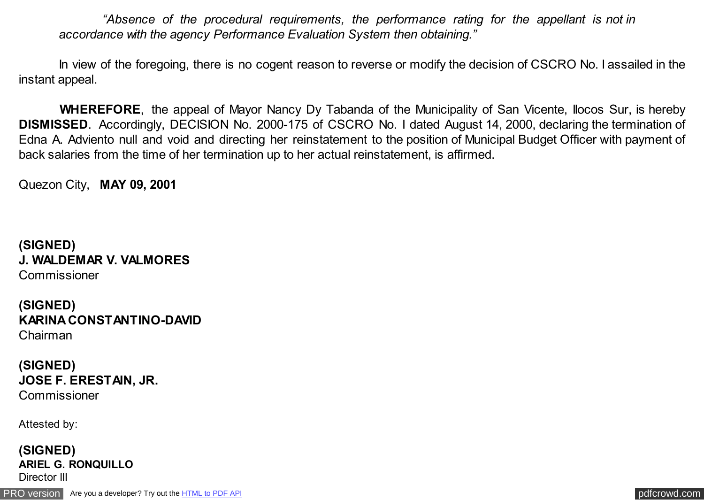*"Absence of the procedural requirements, the performance rating for the appellant is not in accordance with the agency Performance Evaluation System then obtaining."*

In view of the foregoing, there is no cogent reason to reverse or modify the decision of CSCRO No. I assailed in the instant appeal.

 **WHEREFORE**, the appeal of Mayor Nancy Dy Tabanda of the Municipality of San Vicente, Ilocos Sur, is hereby **DISMISSED**. Accordingly, DECISION No. 2000-175 of CSCRO No. I dated August 14, 2000, declaring the termination of Edna A. Adviento null and void and directing her reinstatement to the position of Municipal Budget Officer with payment of back salaries from the time of her termination up to her actual reinstatement, is affirmed.

Quezon City, **MAY 09, 2001**

**(SIGNED) J. WALDEMAR V. VALMORES** Commissioner

**(SIGNED) KARINA CONSTANTINO-DAVID** Chairman

**(SIGNED) JOSE F. ERESTAIN, JR. Commissioner** 

Attested by:

**(SIGNED) ARIEL G. RONQUILLO** Director III

[PRO version](http://pdfcrowd.com/customize/) Are you a developer? Try out th[e HTML to PDF API](http://pdfcrowd.com/html-to-pdf-api/?ref=pdf) provided and the example of the HTML to PDF API posterior and the example of the example of the example of the example of the example of the example of the examp